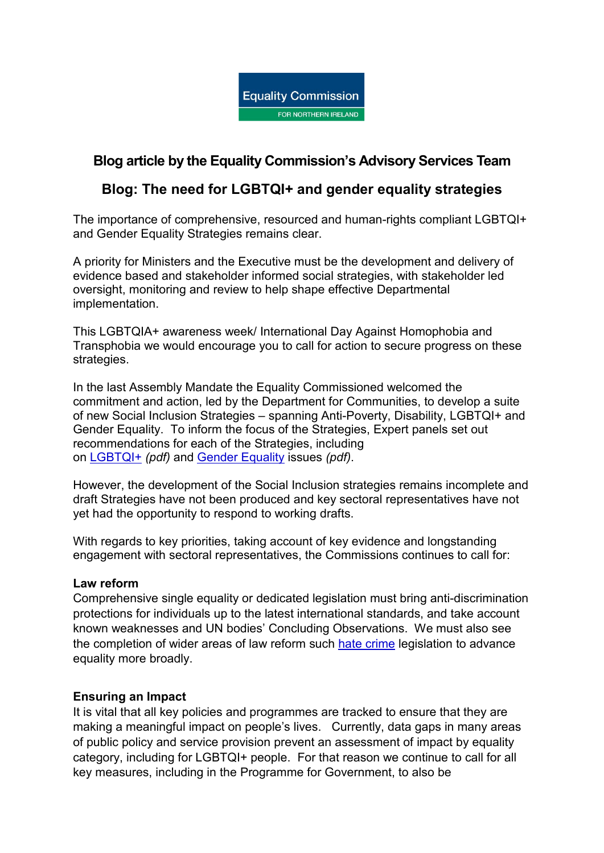

# **Blog article by the Equality Commission's Advisory Services Team**

## **Blog: The need for LGBTQI+ and gender equality strategies**

The importance of comprehensive, resourced and human-rights compliant LGBTQI+ and Gender Equality Strategies remains clear.

A priority for Ministers and the Executive must be the development and delivery of evidence based and stakeholder informed social strategies, with stakeholder led oversight, monitoring and review to help shape effective Departmental implementation.

This LGBTQIA+ awareness week/ International Day Against Homophobia and Transphobia we would encourage you to call for action to secure progress on these strategies.

In the last Assembly Mandate the Equality Commissioned welcomed the commitment and action, led by the Department for Communities, to develop a suite of new Social Inclusion Strategies – spanning Anti-Poverty, Disability, LGBTQI+ and Gender Equality. To inform the focus of the Strategies, Expert panels set out recommendations for each of the Strategies, including on [LGBTQI+](https://www.communities-ni.gov.uk/system/files/publications/communities/dfc-social-inclusion-strategy-lgbtqi-expert-advisory-panel-recommendations.pdf) *(pdf)* and Gender [Equality](https://www.communities-ni.gov.uk/system/files/publications/communities/dfc-social-inclusion-strategy-gender-expert-advisory-panel-report.pdf) issues *(pdf)*.

However, the development of the Social Inclusion strategies remains incomplete and draft Strategies have not been produced and key sectoral representatives have not yet had the opportunity to respond to working drafts.

With regards to key priorities, taking account of key evidence and longstanding engagement with sectoral representatives, the Commissions continues to call for:

#### **Law reform**

Comprehensive single equality or dedicated legislation must bring anti-discrimination protections for individuals up to the latest international standards, and take account known weaknesses and UN bodies' Concluding Observations. We must also see the completion of wider areas of law reform such hate [crime](https://www.equalityni.org/HateCrimePolicy) legislation to advance equality more broadly.

#### **Ensuring an Impact**

It is vital that all key policies and programmes are tracked to ensure that they are making a meaningful impact on people's lives. Currently, data gaps in many areas of public policy and service provision prevent an assessment of impact by equality category, including for LGBTQI+ people. For that reason we continue to call for all key measures, including in the Programme for Government, to also be